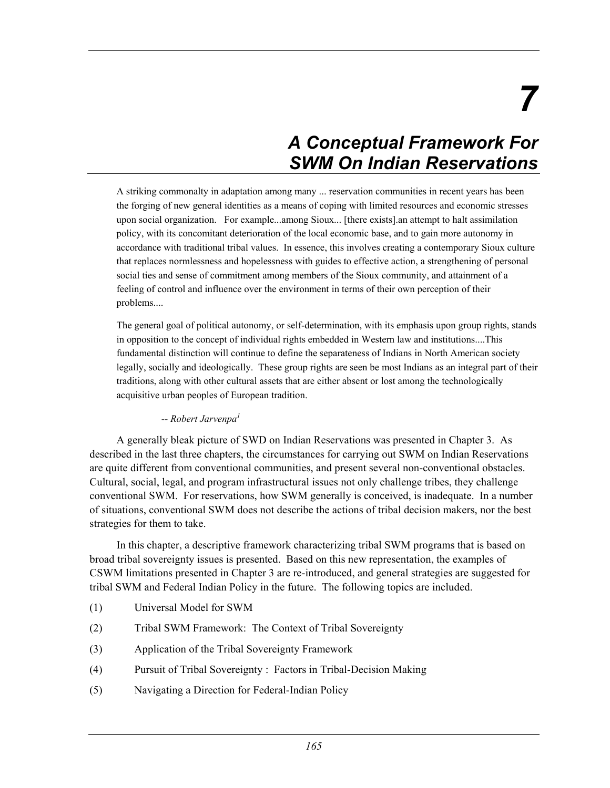# *7*

# *A Conceptual Framework For SWM On Indian Reservations*

A striking commonalty in adaptation among many ... reservation communities in recent years has been the forging of new general identities as a means of coping with limited resources and economic stresses upon social organization. For example...among Sioux... [there exists].an attempt to halt assimilation policy, with its concomitant deterioration of the local economic base, and to gain more autonomy in accordance with traditional tribal values. In essence, this involves creating a contemporary Sioux culture that replaces normlessness and hopelessness with guides to effective action, a strengthening of personal social ties and sense of commitment among members of the Sioux community, and attainment of a feeling of control and influence over the environment in terms of their own perception of their problems....

The general goal of political autonomy, or self-determination, with its emphasis upon group rights, stands in opposition to the concept of individual rights embedded in Western law and institutions....This fundamental distinction will continue to define the separateness of Indians in North American society legally, socially and ideologically. These group rights are seen be most Indians as an integral part of their traditions, along with other cultural assets that are either absent or lost among the technologically acquisitive urban peoples of European tradition.

#### *-- Robert Jarvenpa1*

A generally bleak picture of SWD on Indian Reservations was presented in Chapter 3. As described in the last three chapters, the circumstances for carrying out SWM on Indian Reservations are quite different from conventional communities, and present several non-conventional obstacles. Cultural, social, legal, and program infrastructural issues not only challenge tribes, they challenge conventional SWM. For reservations, how SWM generally is conceived, is inadequate. In a number of situations, conventional SWM does not describe the actions of tribal decision makers, nor the best strategies for them to take.

In this chapter, a descriptive framework characterizing tribal SWM programs that is based on broad tribal sovereignty issues is presented. Based on this new representation, the examples of CSWM limitations presented in Chapter 3 are re-introduced, and general strategies are suggested for tribal SWM and Federal Indian Policy in the future. The following topics are included.

- (1) Universal Model for SWM
- (2) Tribal SWM Framework: The Context of Tribal Sovereignty
- (3) Application of the Tribal Sovereignty Framework
- (4) Pursuit of Tribal Sovereignty : Factors in Tribal-Decision Making
- (5) Navigating a Direction for Federal-Indian Policy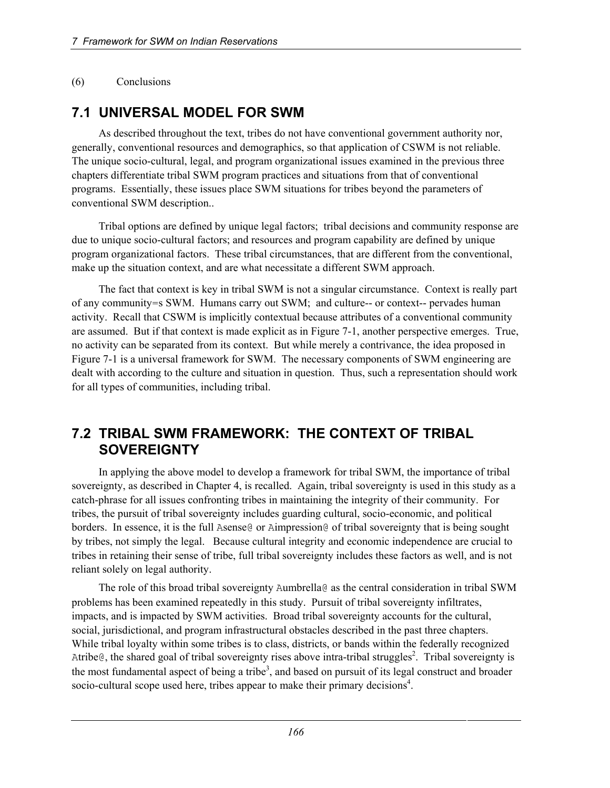#### (6) Conclusions

## **7.1 UNIVERSAL MODEL FOR SWM**

As described throughout the text, tribes do not have conventional government authority nor, generally, conventional resources and demographics, so that application of CSWM is not reliable. The unique socio-cultural, legal, and program organizational issues examined in the previous three chapters differentiate tribal SWM program practices and situations from that of conventional programs. Essentially, these issues place SWM situations for tribes beyond the parameters of conventional SWM description..

Tribal options are defined by unique legal factors; tribal decisions and community response are due to unique socio-cultural factors; and resources and program capability are defined by unique program organizational factors. These tribal circumstances, that are different from the conventional, make up the situation context, and are what necessitate a different SWM approach.

The fact that context is key in tribal SWM is not a singular circumstance. Context is really part of any community=s SWM. Humans carry out SWM; and culture-- or context-- pervades human activity. Recall that CSWM is implicitly contextual because attributes of a conventional community are assumed. But if that context is made explicit as in Figure 7-1, another perspective emerges. True, no activity can be separated from its context. But while merely a contrivance, the idea proposed in Figure 7-1 is a universal framework for SWM. The necessary components of SWM engineering are dealt with according to the culture and situation in question. Thus, such a representation should work for all types of communities, including tribal.

## **7.2 TRIBAL SWM FRAMEWORK: THE CONTEXT OF TRIBAL SOVEREIGNTY**

In applying the above model to develop a framework for tribal SWM, the importance of tribal sovereignty, as described in Chapter 4, is recalled. Again, tribal sovereignty is used in this study as a catch-phrase for all issues confronting tribes in maintaining the integrity of their community. For tribes, the pursuit of tribal sovereignty includes guarding cultural, socio-economic, and political borders. In essence, it is the full Asense@ or Aimpression@ of tribal sovereignty that is being sought by tribes, not simply the legal. Because cultural integrity and economic independence are crucial to tribes in retaining their sense of tribe, full tribal sovereignty includes these factors as well, and is not reliant solely on legal authority.

The role of this broad tribal sovereignty Aumbrella@ as the central consideration in tribal SWM problems has been examined repeatedly in this study. Pursuit of tribal sovereignty infiltrates, impacts, and is impacted by SWM activities. Broad tribal sovereignty accounts for the cultural, social, jurisdictional, and program infrastructural obstacles described in the past three chapters. While tribal loyalty within some tribes is to class, districts, or bands within the federally recognized Atribe@, the shared goal of tribal sovereignty rises above intra-tribal struggles<sup>2</sup>. Tribal sovereignty is the most fundamental aspect of being a tribe<sup>3</sup>, and based on pursuit of its legal construct and broader socio-cultural scope used here, tribes appear to make their primary decisions<sup>4</sup>.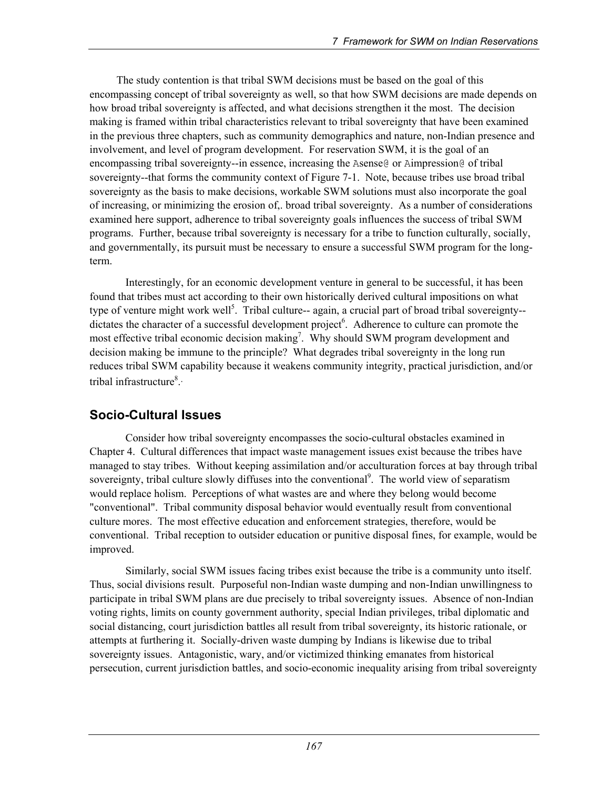The study contention is that tribal SWM decisions must be based on the goal of this encompassing concept of tribal sovereignty as well, so that how SWM decisions are made depends on how broad tribal sovereignty is affected, and what decisions strengthen it the most. The decision making is framed within tribal characteristics relevant to tribal sovereignty that have been examined in the previous three chapters, such as community demographics and nature, non-Indian presence and involvement, and level of program development. For reservation SWM, it is the goal of an encompassing tribal sovereignty--in essence, increasing the Asense@ or Aimpression@ of tribal sovereignty--that forms the community context of Figure 7-1. Note, because tribes use broad tribal sovereignty as the basis to make decisions, workable SWM solutions must also incorporate the goal of increasing, or minimizing the erosion of,. broad tribal sovereignty. As a number of considerations examined here support, adherence to tribal sovereignty goals influences the success of tribal SWM programs. Further, because tribal sovereignty is necessary for a tribe to function culturally, socially, and governmentally, its pursuit must be necessary to ensure a successful SWM program for the longterm.

Interestingly, for an economic development venture in general to be successful, it has been found that tribes must act according to their own historically derived cultural impositions on what type of venture might work well<sup>5</sup>. Tribal culture-- again, a crucial part of broad tribal sovereignty-dictates the character of a successful development project<sup>6</sup>. Adherence to culture can promote the most effective tribal economic decision making<sup>7</sup>. Why should SWM program development and decision making be immune to the principle? What degrades tribal sovereignty in the long run reduces tribal SWM capability because it weakens community integrity, practical jurisdiction, and/or tribal infrastructure<sup>8</sup>.

# **Socio-Cultural Issues**

Consider how tribal sovereignty encompasses the socio-cultural obstacles examined in Chapter 4. Cultural differences that impact waste management issues exist because the tribes have managed to stay tribes. Without keeping assimilation and/or acculturation forces at bay through tribal sovereignty, tribal culture slowly diffuses into the conventional<sup>9</sup>. The world view of separatism would replace holism. Perceptions of what wastes are and where they belong would become "conventional". Tribal community disposal behavior would eventually result from conventional culture mores. The most effective education and enforcement strategies, therefore, would be conventional. Tribal reception to outsider education or punitive disposal fines, for example, would be improved.

Similarly, social SWM issues facing tribes exist because the tribe is a community unto itself. Thus, social divisions result. Purposeful non-Indian waste dumping and non-Indian unwillingness to participate in tribal SWM plans are due precisely to tribal sovereignty issues. Absence of non-Indian voting rights, limits on county government authority, special Indian privileges, tribal diplomatic and social distancing, court jurisdiction battles all result from tribal sovereignty, its historic rationale, or attempts at furthering it. Socially-driven waste dumping by Indians is likewise due to tribal sovereignty issues. Antagonistic, wary, and/or victimized thinking emanates from historical persecution, current jurisdiction battles, and socio-economic inequality arising from tribal sovereignty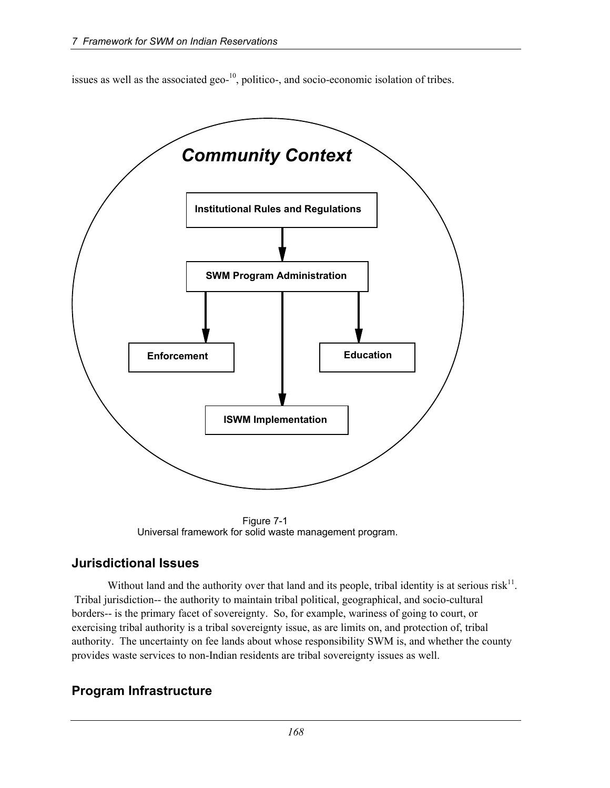issues as well as the associated geo- $^{10}$ , politico-, and socio-economic isolation of tribes.



 Figure 7-1 Universal framework for solid waste management program.

## **Jurisdictional Issues**

Without land and the authority over that land and its people, tribal identity is at serious risk<sup>11</sup>. Tribal jurisdiction-- the authority to maintain tribal political, geographical, and socio-cultural borders-- is the primary facet of sovereignty. So, for example, wariness of going to court, or exercising tribal authority is a tribal sovereignty issue, as are limits on, and protection of, tribal authority. The uncertainty on fee lands about whose responsibility SWM is, and whether the county provides waste services to non-Indian residents are tribal sovereignty issues as well.

## **Program Infrastructure**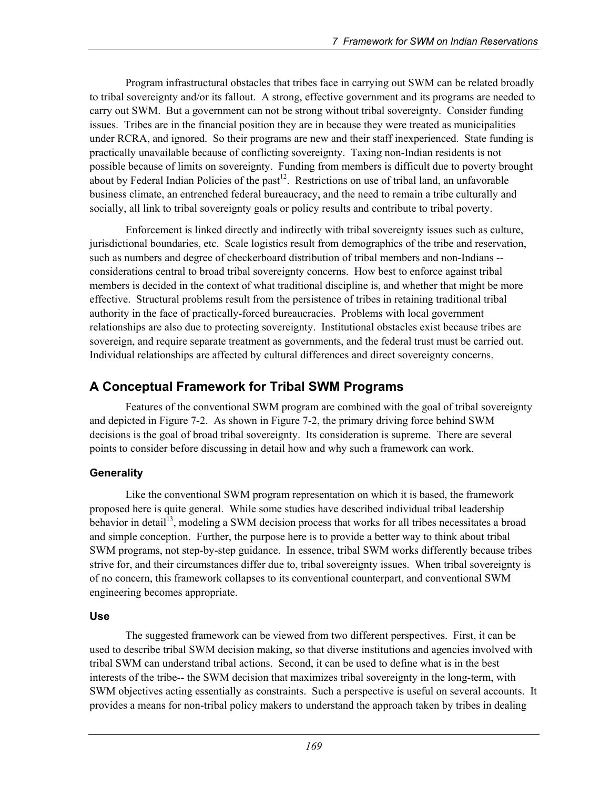Program infrastructural obstacles that tribes face in carrying out SWM can be related broadly to tribal sovereignty and/or its fallout. A strong, effective government and its programs are needed to carry out SWM. But a government can not be strong without tribal sovereignty. Consider funding issues. Tribes are in the financial position they are in because they were treated as municipalities under RCRA, and ignored. So their programs are new and their staff inexperienced. State funding is practically unavailable because of conflicting sovereignty. Taxing non-Indian residents is not possible because of limits on sovereignty. Funding from members is difficult due to poverty brought about by Federal Indian Policies of the past<sup>12</sup>. Restrictions on use of tribal land, an unfavorable business climate, an entrenched federal bureaucracy, and the need to remain a tribe culturally and socially, all link to tribal sovereignty goals or policy results and contribute to tribal poverty.

Enforcement is linked directly and indirectly with tribal sovereignty issues such as culture, jurisdictional boundaries, etc. Scale logistics result from demographics of the tribe and reservation, such as numbers and degree of checkerboard distribution of tribal members and non-Indians - considerations central to broad tribal sovereignty concerns. How best to enforce against tribal members is decided in the context of what traditional discipline is, and whether that might be more effective. Structural problems result from the persistence of tribes in retaining traditional tribal authority in the face of practically-forced bureaucracies. Problems with local government relationships are also due to protecting sovereignty. Institutional obstacles exist because tribes are sovereign, and require separate treatment as governments, and the federal trust must be carried out. Individual relationships are affected by cultural differences and direct sovereignty concerns.

## **A Conceptual Framework for Tribal SWM Programs**

Features of the conventional SWM program are combined with the goal of tribal sovereignty and depicted in Figure 7-2. As shown in Figure 7-2, the primary driving force behind SWM decisions is the goal of broad tribal sovereignty. Its consideration is supreme. There are several points to consider before discussing in detail how and why such a framework can work.

#### **Generality**

Like the conventional SWM program representation on which it is based, the framework proposed here is quite general. While some studies have described individual tribal leadership behavior in detail<sup>13</sup>, modeling a SWM decision process that works for all tribes necessitates a broad and simple conception. Further, the purpose here is to provide a better way to think about tribal SWM programs, not step-by-step guidance. In essence, tribal SWM works differently because tribes strive for, and their circumstances differ due to, tribal sovereignty issues. When tribal sovereignty is of no concern, this framework collapses to its conventional counterpart, and conventional SWM engineering becomes appropriate.

#### **Use**

The suggested framework can be viewed from two different perspectives. First, it can be used to describe tribal SWM decision making, so that diverse institutions and agencies involved with tribal SWM can understand tribal actions. Second, it can be used to define what is in the best interests of the tribe-- the SWM decision that maximizes tribal sovereignty in the long-term, with SWM objectives acting essentially as constraints. Such a perspective is useful on several accounts. It provides a means for non-tribal policy makers to understand the approach taken by tribes in dealing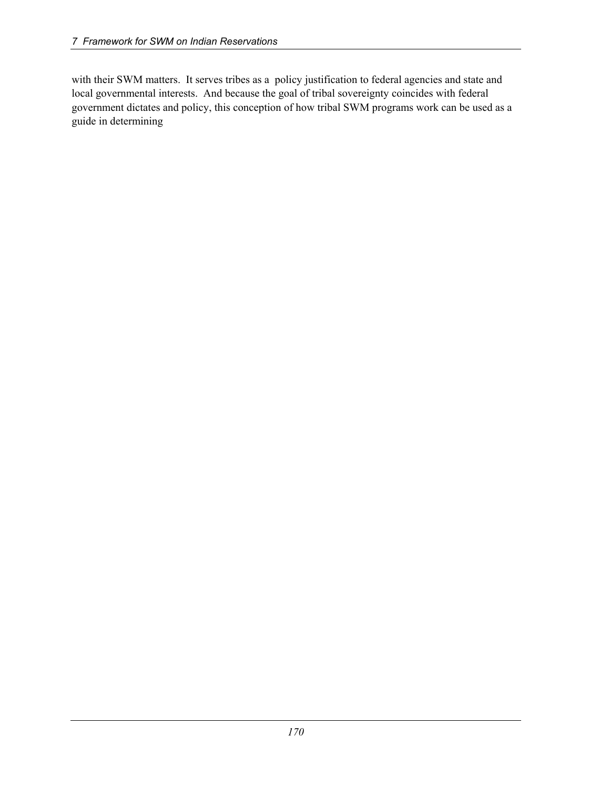with their SWM matters. It serves tribes as a policy justification to federal agencies and state and local governmental interests. And because the goal of tribal sovereignty coincides with federal government dictates and policy, this conception of how tribal SWM programs work can be used as a guide in determining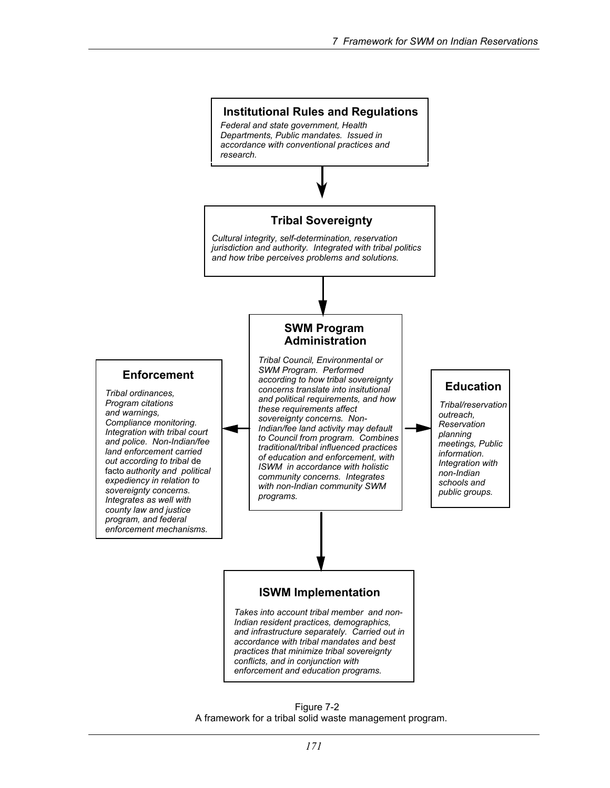

 Figure 7-2 A framework for a tribal solid waste management program.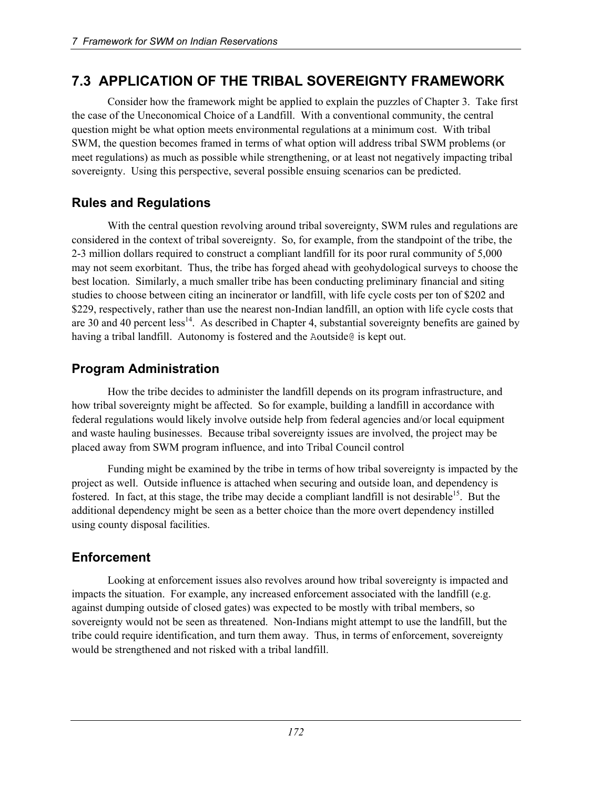# **7.3 APPLICATION OF THE TRIBAL SOVEREIGNTY FRAMEWORK**

Consider how the framework might be applied to explain the puzzles of Chapter 3. Take first the case of the Uneconomical Choice of a Landfill. With a conventional community, the central question might be what option meets environmental regulations at a minimum cost. With tribal SWM, the question becomes framed in terms of what option will address tribal SWM problems (or meet regulations) as much as possible while strengthening, or at least not negatively impacting tribal sovereignty. Using this perspective, several possible ensuing scenarios can be predicted.

## **Rules and Regulations**

With the central question revolving around tribal sovereignty, SWM rules and regulations are considered in the context of tribal sovereignty. So, for example, from the standpoint of the tribe, the 2-3 million dollars required to construct a compliant landfill for its poor rural community of 5,000 may not seem exorbitant. Thus, the tribe has forged ahead with geohydological surveys to choose the best location. Similarly, a much smaller tribe has been conducting preliminary financial and siting studies to choose between citing an incinerator or landfill, with life cycle costs per ton of \$202 and \$229, respectively, rather than use the nearest non-Indian landfill, an option with life cycle costs that are 30 and 40 percent less<sup>14</sup>. As described in Chapter 4, substantial sovereignty benefits are gained by having a tribal landfill. Autonomy is fostered and the Aoutside@ is kept out.

## **Program Administration**

How the tribe decides to administer the landfill depends on its program infrastructure, and how tribal sovereignty might be affected. So for example, building a landfill in accordance with federal regulations would likely involve outside help from federal agencies and/or local equipment and waste hauling businesses. Because tribal sovereignty issues are involved, the project may be placed away from SWM program influence, and into Tribal Council control

Funding might be examined by the tribe in terms of how tribal sovereignty is impacted by the project as well. Outside influence is attached when securing and outside loan, and dependency is fostered. In fact, at this stage, the tribe may decide a compliant landfill is not desirable<sup>15</sup>. But the additional dependency might be seen as a better choice than the more overt dependency instilled using county disposal facilities.

# **Enforcement**

Looking at enforcement issues also revolves around how tribal sovereignty is impacted and impacts the situation. For example, any increased enforcement associated with the landfill (e.g. against dumping outside of closed gates) was expected to be mostly with tribal members, so sovereignty would not be seen as threatened. Non-Indians might attempt to use the landfill, but the tribe could require identification, and turn them away. Thus, in terms of enforcement, sovereignty would be strengthened and not risked with a tribal landfill.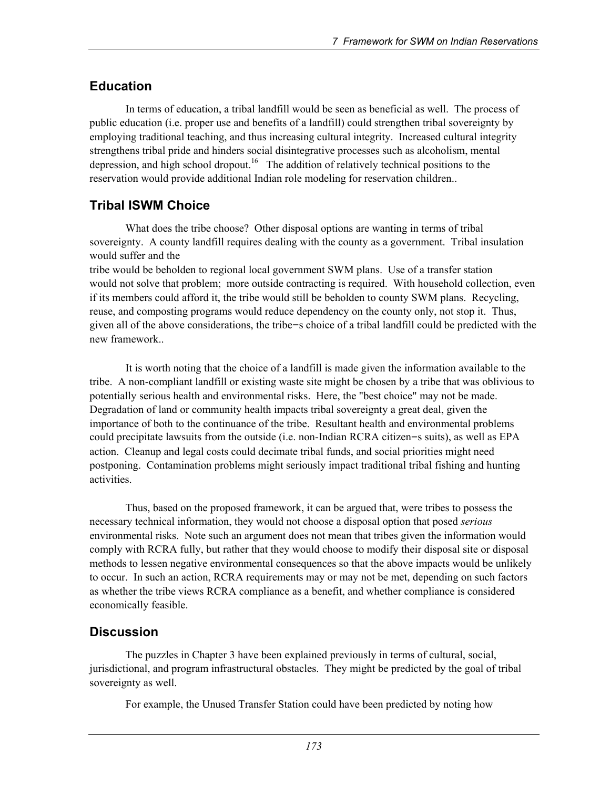# **Education**

In terms of education, a tribal landfill would be seen as beneficial as well. The process of public education (i.e. proper use and benefits of a landfill) could strengthen tribal sovereignty by employing traditional teaching, and thus increasing cultural integrity. Increased cultural integrity strengthens tribal pride and hinders social disintegrative processes such as alcoholism, mental depression, and high school dropout.<sup>16</sup> The addition of relatively technical positions to the reservation would provide additional Indian role modeling for reservation children..

# **Tribal ISWM Choice**

What does the tribe choose? Other disposal options are wanting in terms of tribal sovereignty. A county landfill requires dealing with the county as a government. Tribal insulation would suffer and the

tribe would be beholden to regional local government SWM plans. Use of a transfer station would not solve that problem; more outside contracting is required. With household collection, even if its members could afford it, the tribe would still be beholden to county SWM plans. Recycling, reuse, and composting programs would reduce dependency on the county only, not stop it. Thus, given all of the above considerations, the tribe=s choice of a tribal landfill could be predicted with the new framework..

It is worth noting that the choice of a landfill is made given the information available to the tribe. A non-compliant landfill or existing waste site might be chosen by a tribe that was oblivious to potentially serious health and environmental risks. Here, the "best choice" may not be made. Degradation of land or community health impacts tribal sovereignty a great deal, given the importance of both to the continuance of the tribe. Resultant health and environmental problems could precipitate lawsuits from the outside (i.e. non-Indian RCRA citizen=s suits), as well as EPA action. Cleanup and legal costs could decimate tribal funds, and social priorities might need postponing. Contamination problems might seriously impact traditional tribal fishing and hunting activities.

Thus, based on the proposed framework, it can be argued that, were tribes to possess the necessary technical information, they would not choose a disposal option that posed *serious* environmental risks. Note such an argument does not mean that tribes given the information would comply with RCRA fully, but rather that they would choose to modify their disposal site or disposal methods to lessen negative environmental consequences so that the above impacts would be unlikely to occur. In such an action, RCRA requirements may or may not be met, depending on such factors as whether the tribe views RCRA compliance as a benefit, and whether compliance is considered economically feasible.

## **Discussion**

The puzzles in Chapter 3 have been explained previously in terms of cultural, social, jurisdictional, and program infrastructural obstacles. They might be predicted by the goal of tribal sovereignty as well.

For example, the Unused Transfer Station could have been predicted by noting how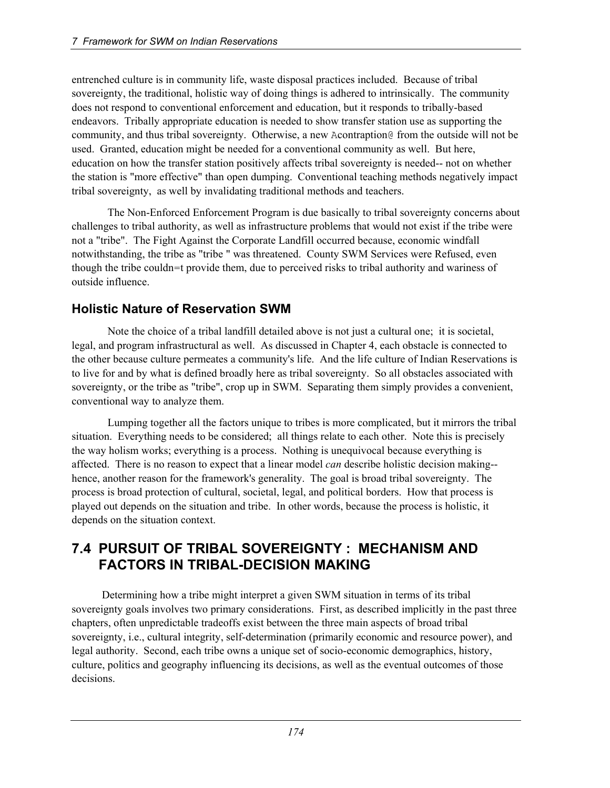entrenched culture is in community life, waste disposal practices included. Because of tribal sovereignty, the traditional, holistic way of doing things is adhered to intrinsically. The community does not respond to conventional enforcement and education, but it responds to tribally-based endeavors. Tribally appropriate education is needed to show transfer station use as supporting the community, and thus tribal sovereignty. Otherwise, a new Acontraption@ from the outside will not be used. Granted, education might be needed for a conventional community as well. But here, education on how the transfer station positively affects tribal sovereignty is needed-- not on whether the station is "more effective" than open dumping. Conventional teaching methods negatively impact tribal sovereignty, as well by invalidating traditional methods and teachers.

The Non-Enforced Enforcement Program is due basically to tribal sovereignty concerns about challenges to tribal authority, as well as infrastructure problems that would not exist if the tribe were not a "tribe". The Fight Against the Corporate Landfill occurred because, economic windfall notwithstanding, the tribe as "tribe " was threatened. County SWM Services were Refused, even though the tribe couldn=t provide them, due to perceived risks to tribal authority and wariness of outside influence.

## **Holistic Nature of Reservation SWM**

Note the choice of a tribal landfill detailed above is not just a cultural one; it is societal, legal, and program infrastructural as well. As discussed in Chapter 4, each obstacle is connected to the other because culture permeates a community's life. And the life culture of Indian Reservations is to live for and by what is defined broadly here as tribal sovereignty. So all obstacles associated with sovereignty, or the tribe as "tribe", crop up in SWM. Separating them simply provides a convenient, conventional way to analyze them.

Lumping together all the factors unique to tribes is more complicated, but it mirrors the tribal situation. Everything needs to be considered; all things relate to each other. Note this is precisely the way holism works; everything is a process. Nothing is unequivocal because everything is affected. There is no reason to expect that a linear model *can* describe holistic decision making- hence, another reason for the framework's generality. The goal is broad tribal sovereignty. The process is broad protection of cultural, societal, legal, and political borders. How that process is played out depends on the situation and tribe. In other words, because the process is holistic, it depends on the situation context.

# **7.4 PURSUIT OF TRIBAL SOVEREIGNTY : MECHANISM AND FACTORS IN TRIBAL-DECISION MAKING**

Determining how a tribe might interpret a given SWM situation in terms of its tribal sovereignty goals involves two primary considerations. First, as described implicitly in the past three chapters, often unpredictable tradeoffs exist between the three main aspects of broad tribal sovereignty, i.e., cultural integrity, self-determination (primarily economic and resource power), and legal authority. Second, each tribe owns a unique set of socio-economic demographics, history, culture, politics and geography influencing its decisions, as well as the eventual outcomes of those decisions.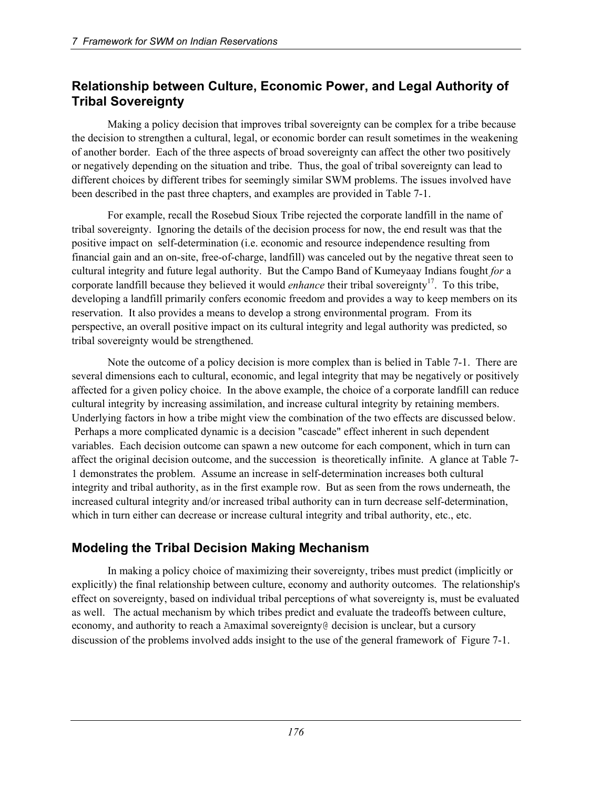## **Relationship between Culture, Economic Power, and Legal Authority of Tribal Sovereignty**

Making a policy decision that improves tribal sovereignty can be complex for a tribe because the decision to strengthen a cultural, legal, or economic border can result sometimes in the weakening of another border. Each of the three aspects of broad sovereignty can affect the other two positively or negatively depending on the situation and tribe. Thus, the goal of tribal sovereignty can lead to different choices by different tribes for seemingly similar SWM problems. The issues involved have been described in the past three chapters, and examples are provided in Table 7-1.

For example, recall the Rosebud Sioux Tribe rejected the corporate landfill in the name of tribal sovereignty. Ignoring the details of the decision process for now, the end result was that the positive impact on self-determination (i.e. economic and resource independence resulting from financial gain and an on-site, free-of-charge, landfill) was canceled out by the negative threat seen to cultural integrity and future legal authority. But the Campo Band of Kumeyaay Indians fought *for* a corporate landfill because they believed it would *enhance* their tribal sovereignty<sup>17</sup>. To this tribe, developing a landfill primarily confers economic freedom and provides a way to keep members on its reservation. It also provides a means to develop a strong environmental program. From its perspective, an overall positive impact on its cultural integrity and legal authority was predicted, so tribal sovereignty would be strengthened.

Note the outcome of a policy decision is more complex than is belied in Table 7-1. There are several dimensions each to cultural, economic, and legal integrity that may be negatively or positively affected for a given policy choice. In the above example, the choice of a corporate landfill can reduce cultural integrity by increasing assimilation, and increase cultural integrity by retaining members. Underlying factors in how a tribe might view the combination of the two effects are discussed below. Perhaps a more complicated dynamic is a decision "cascade" effect inherent in such dependent variables. Each decision outcome can spawn a new outcome for each component, which in turn can affect the original decision outcome, and the succession is theoretically infinite. A glance at Table 7- 1 demonstrates the problem. Assume an increase in self-determination increases both cultural integrity and tribal authority, as in the first example row. But as seen from the rows underneath, the increased cultural integrity and/or increased tribal authority can in turn decrease self-determination, which in turn either can decrease or increase cultural integrity and tribal authority, etc., etc.

## **Modeling the Tribal Decision Making Mechanism**

In making a policy choice of maximizing their sovereignty, tribes must predict (implicitly or explicitly) the final relationship between culture, economy and authority outcomes. The relationship's effect on sovereignty, based on individual tribal perceptions of what sovereignty is, must be evaluated as well. The actual mechanism by which tribes predict and evaluate the tradeoffs between culture, economy, and authority to reach a Amaximal sovereignty@ decision is unclear, but a cursory discussion of the problems involved adds insight to the use of the general framework of Figure 7-1.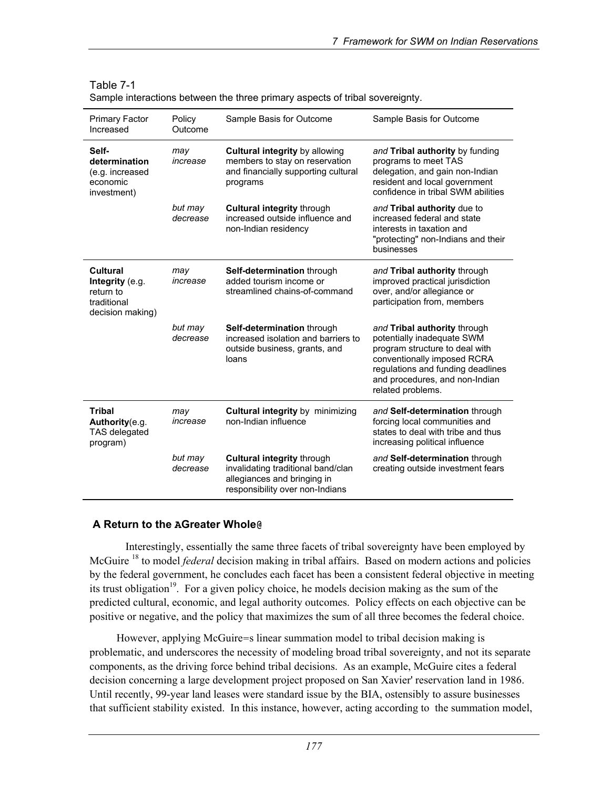| <b>Primary Factor</b><br>Increased                                          | Policy<br>Outcome   | Sample Basis for Outcome                                                                                                                  | Sample Basis for Outcome                                                                                                                                                                                                |
|-----------------------------------------------------------------------------|---------------------|-------------------------------------------------------------------------------------------------------------------------------------------|-------------------------------------------------------------------------------------------------------------------------------------------------------------------------------------------------------------------------|
| Self-<br>determination<br>(e.g. increased<br>economic<br>investment)        | may<br>increase     | <b>Cultural integrity by allowing</b><br>members to stay on reservation<br>and financially supporting cultural<br>programs                | and Tribal authority by funding<br>programs to meet TAS<br>delegation, and gain non-Indian<br>resident and local government<br>confidence in tribal SWM abilities                                                       |
|                                                                             | but may<br>decrease | <b>Cultural integrity through</b><br>increased outside influence and<br>non-Indian residency                                              | and Tribal authority due to<br>increased federal and state<br>interests in taxation and<br>"protecting" non-Indians and their<br>businesses                                                                             |
| Cultural<br>Integrity (e.g.<br>return to<br>traditional<br>decision making) | may<br>increase     | Self-determination through<br>added tourism income or<br>streamlined chains-of-command                                                    | and Tribal authority through<br>improved practical jurisdiction<br>over, and/or allegiance or<br>participation from, members                                                                                            |
|                                                                             | but may<br>decrease | Self-determination through<br>increased isolation and barriers to<br>outside business, grants, and<br>loans                               | and Tribal authority through<br>potentially inadequate SWM<br>program structure to deal with<br>conventionally imposed RCRA<br>regulations and funding deadlines<br>and procedures, and non-Indian<br>related problems. |
| <b>Tribal</b><br>Authority(e.g.<br>TAS delegated<br>program)                | may<br>increase     | <b>Cultural integrity by minimizing</b><br>non-Indian influence                                                                           | and Self-determination through<br>forcing local communities and<br>states to deal with tribe and thus<br>increasing political influence                                                                                 |
|                                                                             | but may<br>decrease | <b>Cultural integrity through</b><br>invalidating traditional band/clan<br>allegiances and bringing in<br>responsibility over non-Indians | and Self-determination through<br>creating outside investment fears                                                                                                                                                     |

| Table 7-1                                                                    |  |
|------------------------------------------------------------------------------|--|
| Sample interactions between the three primary aspects of tribal sovereignty. |  |

#### **A Return to the AGreater Whole@**

Interestingly, essentially the same three facets of tribal sovereignty have been employed by McGuire<sup>18</sup> to model *federal* decision making in tribal affairs. Based on modern actions and policies by the federal government, he concludes each facet has been a consistent federal objective in meeting its trust obligation<sup>19</sup>. For a given policy choice, he models decision making as the sum of the predicted cultural, economic, and legal authority outcomes. Policy effects on each objective can be positive or negative, and the policy that maximizes the sum of all three becomes the federal choice.

However, applying McGuire=s linear summation model to tribal decision making is problematic, and underscores the necessity of modeling broad tribal sovereignty, and not its separate components, as the driving force behind tribal decisions. As an example, McGuire cites a federal decision concerning a large development project proposed on San Xavier' reservation land in 1986. Until recently, 99-year land leases were standard issue by the BIA, ostensibly to assure businesses that sufficient stability existed. In this instance, however, acting according to the summation model,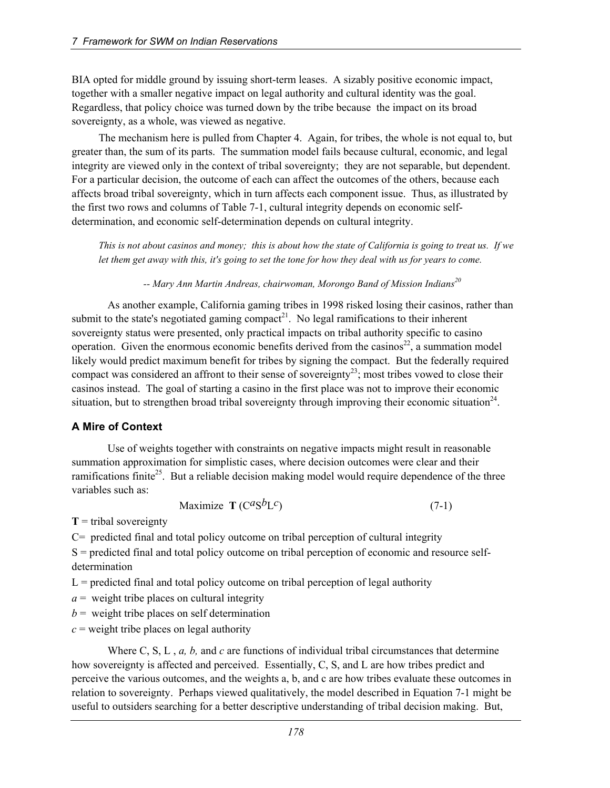BIA opted for middle ground by issuing short-term leases. A sizably positive economic impact, together with a smaller negative impact on legal authority and cultural identity was the goal. Regardless, that policy choice was turned down by the tribe because the impact on its broad sovereignty, as a whole, was viewed as negative.

The mechanism here is pulled from Chapter 4. Again, for tribes, the whole is not equal to, but greater than, the sum of its parts. The summation model fails because cultural, economic, and legal integrity are viewed only in the context of tribal sovereignty; they are not separable, but dependent. For a particular decision, the outcome of each can affect the outcomes of the others, because each affects broad tribal sovereignty, which in turn affects each component issue. Thus, as illustrated by the first two rows and columns of Table 7-1, cultural integrity depends on economic selfdetermination, and economic self-determination depends on cultural integrity.

*This is not about casinos and money; this is about how the state of California is going to treat us. If we let them get away with this, it's going to set the tone for how they deal with us for years to come.* 

 *-- Mary Ann Martin Andreas, chairwoman, Morongo Band of Mission Indians20*

As another example, California gaming tribes in 1998 risked losing their casinos, rather than submit to the state's negotiated gaming compact<sup>21</sup>. No legal ramifications to their inherent sovereignty status were presented, only practical impacts on tribal authority specific to casino operation. Given the enormous economic benefits derived from the casinos<sup>22</sup>, a summation model likely would predict maximum benefit for tribes by signing the compact. But the federally required compact was considered an affront to their sense of sovereignty<sup>23</sup>; most tribes vowed to close their casinos instead. The goal of starting a casino in the first place was not to improve their economic situation, but to strengthen broad tribal sovereignty through improving their economic situation<sup>24</sup>.

#### **A Mire of Context**

Use of weights together with constraints on negative impacts might result in reasonable summation approximation for simplistic cases, where decision outcomes were clear and their ramifications finite<sup>25</sup>. But a reliable decision making model would require dependence of the three variables such as:

$$
\text{Maximize } \mathbf{T} \left( C^a S^b L^c \right) \tag{7-1}
$$

 $T =$  tribal sovereignty

C= predicted final and total policy outcome on tribal perception of cultural integrity

S = predicted final and total policy outcome on tribal perception of economic and resource selfdetermination

 $L =$  predicted final and total policy outcome on tribal perception of legal authority

 $a =$  weight tribe places on cultural integrity

 $b =$  weight tribe places on self determination

 $c$  = weight tribe places on legal authority

Where C, S, L, *a, b,* and *c* are functions of individual tribal circumstances that determine how sovereignty is affected and perceived. Essentially, C, S, and L are how tribes predict and perceive the various outcomes, and the weights a, b, and c are how tribes evaluate these outcomes in relation to sovereignty. Perhaps viewed qualitatively, the model described in Equation 7-1 might be useful to outsiders searching for a better descriptive understanding of tribal decision making. But,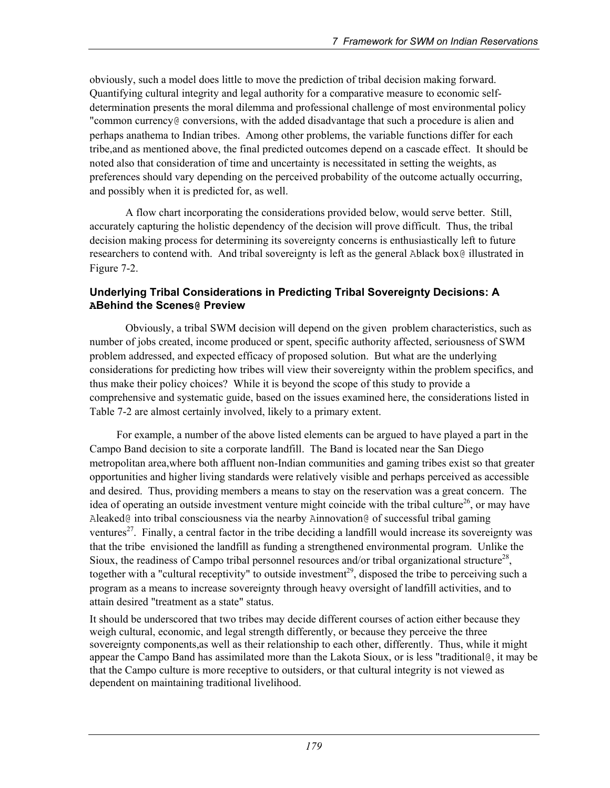obviously, such a model does little to move the prediction of tribal decision making forward. Quantifying cultural integrity and legal authority for a comparative measure to economic selfdetermination presents the moral dilemma and professional challenge of most environmental policy "common currency@ conversions, with the added disadvantage that such a procedure is alien and perhaps anathema to Indian tribes. Among other problems, the variable functions differ for each tribe,and as mentioned above, the final predicted outcomes depend on a cascade effect. It should be noted also that consideration of time and uncertainty is necessitated in setting the weights, as preferences should vary depending on the perceived probability of the outcome actually occurring, and possibly when it is predicted for, as well.

A flow chart incorporating the considerations provided below, would serve better. Still, accurately capturing the holistic dependency of the decision will prove difficult. Thus, the tribal decision making process for determining its sovereignty concerns is enthusiastically left to future researchers to contend with. And tribal sovereignty is left as the general Ablack box@ illustrated in Figure 7-2.

#### **Underlying Tribal Considerations in Predicting Tribal Sovereignty Decisions: A ABehind the Scenes@ Preview**

Obviously, a tribal SWM decision will depend on the given problem characteristics, such as number of jobs created, income produced or spent, specific authority affected, seriousness of SWM problem addressed, and expected efficacy of proposed solution. But what are the underlying considerations for predicting how tribes will view their sovereignty within the problem specifics, and thus make their policy choices? While it is beyond the scope of this study to provide a comprehensive and systematic guide, based on the issues examined here, the considerations listed in Table 7-2 are almost certainly involved, likely to a primary extent.

For example, a number of the above listed elements can be argued to have played a part in the Campo Band decision to site a corporate landfill. The Band is located near the San Diego metropolitan area,where both affluent non-Indian communities and gaming tribes exist so that greater opportunities and higher living standards were relatively visible and perhaps perceived as accessible and desired. Thus, providing members a means to stay on the reservation was a great concern. The idea of operating an outside investment venture might coincide with the tribal culture<sup>26</sup>, or may have Aleaked@ into tribal consciousness via the nearby Ainnovation@ of successful tribal gaming ventures<sup>27</sup>. Finally, a central factor in the tribe deciding a landfill would increase its sovereignty was that the tribe envisioned the landfill as funding a strengthened environmental program. Unlike the Sioux, the readiness of Campo tribal personnel resources and/or tribal organizational structure<sup>28</sup>. together with a "cultural receptivity" to outside investment<sup>29</sup>, disposed the tribe to perceiving such a program as a means to increase sovereignty through heavy oversight of landfill activities, and to attain desired "treatment as a state" status.

It should be underscored that two tribes may decide different courses of action either because they weigh cultural, economic, and legal strength differently, or because they perceive the three sovereignty components,as well as their relationship to each other, differently. Thus, while it might appear the Campo Band has assimilated more than the Lakota Sioux, or is less "traditional@, it may be that the Campo culture is more receptive to outsiders, or that cultural integrity is not viewed as dependent on maintaining traditional livelihood.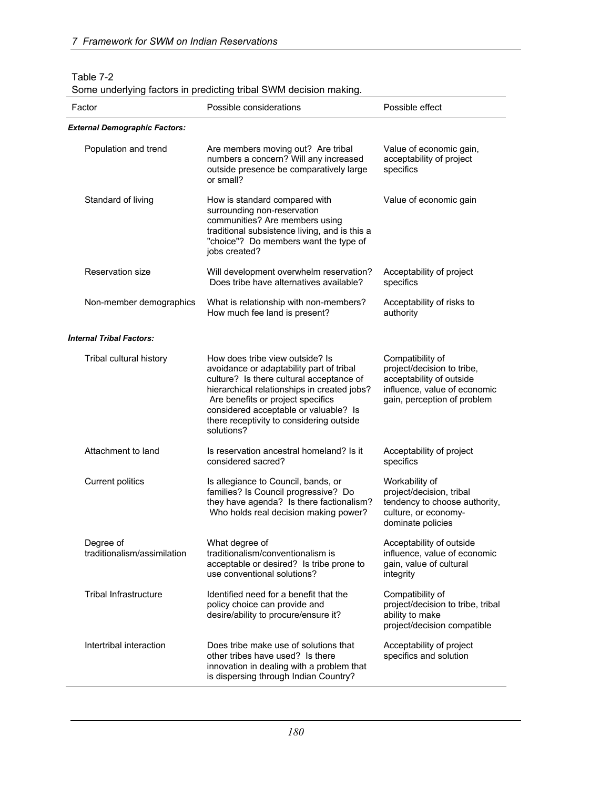| Some underlying factors in predicting tribal SWM decision making. |  |  |  |  |  |
|-------------------------------------------------------------------|--|--|--|--|--|
|-------------------------------------------------------------------|--|--|--|--|--|

| Factor                                   | Possible considerations                                                                                                                                                                                                                                                                                        | Possible effect                                                                                                                           |  |
|------------------------------------------|----------------------------------------------------------------------------------------------------------------------------------------------------------------------------------------------------------------------------------------------------------------------------------------------------------------|-------------------------------------------------------------------------------------------------------------------------------------------|--|
| <b>External Demographic Factors:</b>     |                                                                                                                                                                                                                                                                                                                |                                                                                                                                           |  |
| Population and trend                     | Are members moving out? Are tribal<br>numbers a concern? Will any increased<br>outside presence be comparatively large<br>or small?                                                                                                                                                                            | Value of economic gain,<br>acceptability of project<br>specifics                                                                          |  |
| Standard of living                       | How is standard compared with<br>surrounding non-reservation<br>communities? Are members using<br>traditional subsistence living, and is this a<br>"choice"? Do members want the type of<br>jobs created?                                                                                                      | Value of economic gain                                                                                                                    |  |
| Reservation size                         | Will development overwhelm reservation?<br>Does tribe have alternatives available?                                                                                                                                                                                                                             | Acceptability of project<br>specifics                                                                                                     |  |
| Non-member demographics                  | What is relationship with non-members?<br>How much fee land is present?                                                                                                                                                                                                                                        | Acceptability of risks to<br>authority                                                                                                    |  |
| <b>Internal Tribal Factors:</b>          |                                                                                                                                                                                                                                                                                                                |                                                                                                                                           |  |
| Tribal cultural history                  | How does tribe view outside? Is<br>avoidance or adaptability part of tribal<br>culture? Is there cultural acceptance of<br>hierarchical relationships in created jobs?<br>Are benefits or project specifics<br>considered acceptable or valuable? Is<br>there receptivity to considering outside<br>solutions? | Compatibility of<br>project/decision to tribe,<br>acceptability of outside<br>influence, value of economic<br>gain, perception of problem |  |
| Attachment to land                       | Is reservation ancestral homeland? Is it<br>considered sacred?                                                                                                                                                                                                                                                 | Acceptability of project<br>specifics                                                                                                     |  |
| <b>Current politics</b>                  | Is allegiance to Council, bands, or<br>families? Is Council progressive? Do<br>they have agenda? Is there factionalism?<br>Who holds real decision making power?                                                                                                                                               | Workability of<br>project/decision, tribal<br>tendency to choose authority,<br>culture, or economy-<br>dominate policies                  |  |
| Degree of<br>traditionalism/assimilation | What degree of<br>traditionalism/conventionalism is<br>acceptable or desired? Is tribe prone to<br>use conventional solutions?                                                                                                                                                                                 | Acceptability of outside<br>influence, value of economic<br>gain, value of cultural<br>integrity                                          |  |
| <b>Tribal Infrastructure</b>             | Identified need for a benefit that the<br>policy choice can provide and<br>desire/ability to procure/ensure it?                                                                                                                                                                                                | Compatibility of<br>project/decision to tribe, tribal<br>ability to make<br>project/decision compatible                                   |  |
| Intertribal interaction                  | Does tribe make use of solutions that<br>other tribes have used? Is there<br>innovation in dealing with a problem that<br>is dispersing through Indian Country?                                                                                                                                                | Acceptability of project<br>specifics and solution                                                                                        |  |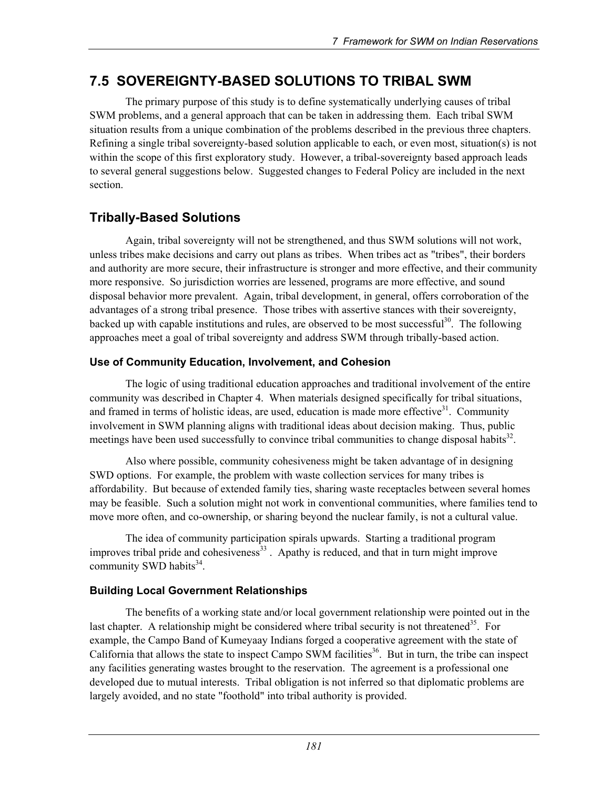# **7.5 SOVEREIGNTY-BASED SOLUTIONS TO TRIBAL SWM**

The primary purpose of this study is to define systematically underlying causes of tribal SWM problems, and a general approach that can be taken in addressing them. Each tribal SWM situation results from a unique combination of the problems described in the previous three chapters. Refining a single tribal sovereignty-based solution applicable to each, or even most, situation(s) is not within the scope of this first exploratory study. However, a tribal-sovereignty based approach leads to several general suggestions below. Suggested changes to Federal Policy are included in the next section.

# **Tribally-Based Solutions**

Again, tribal sovereignty will not be strengthened, and thus SWM solutions will not work, unless tribes make decisions and carry out plans as tribes. When tribes act as "tribes", their borders and authority are more secure, their infrastructure is stronger and more effective, and their community more responsive. So jurisdiction worries are lessened, programs are more effective, and sound disposal behavior more prevalent. Again, tribal development, in general, offers corroboration of the advantages of a strong tribal presence. Those tribes with assertive stances with their sovereignty, backed up with capable institutions and rules, are observed to be most successful<sup>30</sup>. The following approaches meet a goal of tribal sovereignty and address SWM through tribally-based action.

#### **Use of Community Education, Involvement, and Cohesion**

The logic of using traditional education approaches and traditional involvement of the entire community was described in Chapter 4. When materials designed specifically for tribal situations, and framed in terms of holistic ideas, are used, education is made more effective $3^1$ . Community involvement in SWM planning aligns with traditional ideas about decision making. Thus, public meetings have been used successfully to convince tribal communities to change disposal habits<sup>32</sup>.

Also where possible, community cohesiveness might be taken advantage of in designing SWD options. For example, the problem with waste collection services for many tribes is affordability. But because of extended family ties, sharing waste receptacles between several homes may be feasible. Such a solution might not work in conventional communities, where families tend to move more often, and co-ownership, or sharing beyond the nuclear family, is not a cultural value.

The idea of community participation spirals upwards. Starting a traditional program improves tribal pride and cohesiveness $33$ . Apathy is reduced, and that in turn might improve community SWD habits $34$ .

#### **Building Local Government Relationships**

The benefits of a working state and/or local government relationship were pointed out in the last chapter. A relationship might be considered where tribal security is not threatened<sup>35</sup>. For example, the Campo Band of Kumeyaay Indians forged a cooperative agreement with the state of California that allows the state to inspect Campo SWM facilities<sup>36</sup>. But in turn, the tribe can inspect any facilities generating wastes brought to the reservation. The agreement is a professional one developed due to mutual interests. Tribal obligation is not inferred so that diplomatic problems are largely avoided, and no state "foothold" into tribal authority is provided.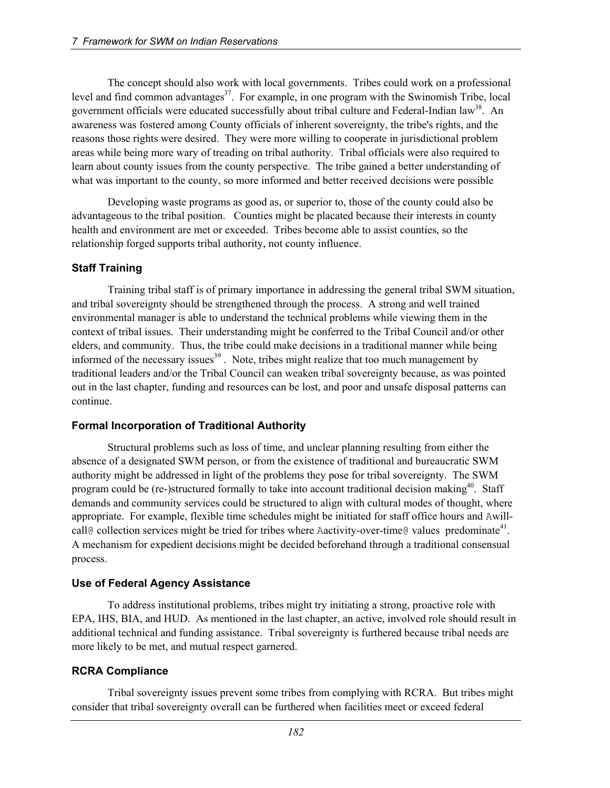The concept should also work with local governments. Tribes could work on a professional level and find common advantages<sup>37</sup>. For example, in one program with the Swinomish Tribe, local government officials were educated successfully about tribal culture and Federal-Indian law<sup>38</sup>. An awareness was fostered among County officials of inherent sovereignty, the tribe's rights, and the reasons those rights were desired. They were more willing to cooperate in jurisdictional problem areas while being more wary of treading on tribal authority. Tribal officials were also required to learn about county issues from the county perspective. The tribe gained a better understanding of what was important to the county, so more informed and better received decisions were possible

Developing waste programs as good as, or superior to, those of the county could also be advantageous to the tribal position. Counties might be placated because their interests in county health and environment are met or exceeded. Tribes become able to assist counties, so the relationship forged supports tribal authority, not county influence.

#### **Staff Training**

Training tribal staff is of primary importance in addressing the general tribal SWM situation, and tribal sovereignty should be strengthened through the process. A strong and well trained environmental manager is able to understand the technical problems while viewing them in the context of tribal issues. Their understanding might be conferred to the Tribal Council and/or other elders, and community. Thus, the tribe could make decisions in a traditional manner while being informed of the necessary issues $39$ . Note, tribes might realize that too much management by traditional leaders and/or the Tribal Council can weaken tribal sovereignty because, as was pointed out in the last chapter, funding and resources can be lost, and poor and unsafe disposal patterns can continue.

#### **Formal Incorporation of Traditional Authority**

Structural problems such as loss of time, and unclear planning resulting from either the absence of a designated SWM person, or from the existence of traditional and bureaucratic SWM authority might be addressed in light of the problems they pose for tribal sovereignty. The SWM program could be (re-)structured formally to take into account traditional decision making<sup>40</sup>. Staff demands and community services could be structured to align with cultural modes of thought, where appropriate. For example, flexible time schedules might be initiated for staff office hours and Awillcall@ collection services might be tried for tribes where Aactivity-over-time@ values predominate<sup>41</sup>. A mechanism for expedient decisions might be decided beforehand through a traditional consensual process.

#### **Use of Federal Agency Assistance**

To address institutional problems, tribes might try initiating a strong, proactive role with EPA, IHS, BIA, and HUD. As mentioned in the last chapter, an active, involved role should result in additional technical and funding assistance. Tribal sovereignty is furthered because tribal needs are more likely to be met, and mutual respect garnered.

#### **RCRA Compliance**

Tribal sovereignty issues prevent some tribes from complying with RCRA. But tribes might consider that tribal sovereignty overall can be furthered when facilities meet or exceed federal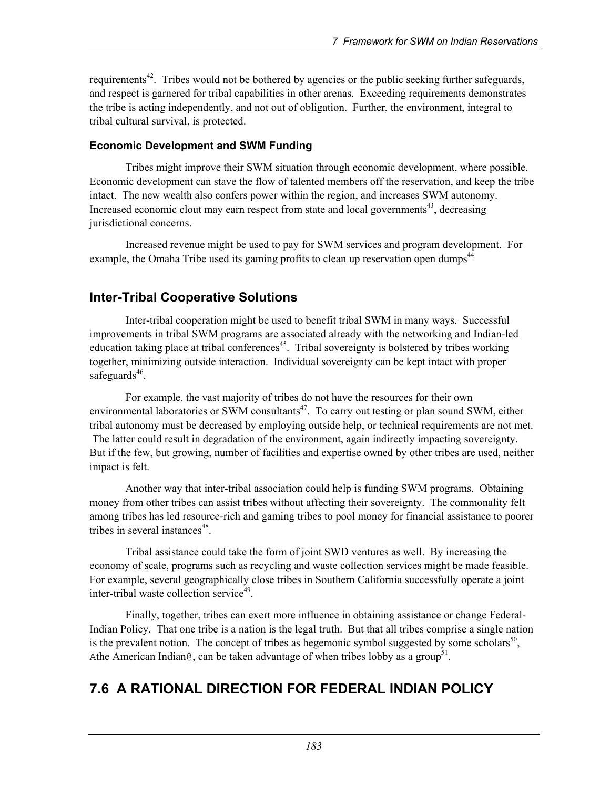requirements<sup>42</sup>. Tribes would not be bothered by agencies or the public seeking further safeguards, and respect is garnered for tribal capabilities in other arenas. Exceeding requirements demonstrates the tribe is acting independently, and not out of obligation. Further, the environment, integral to tribal cultural survival, is protected.

#### **Economic Development and SWM Funding**

Tribes might improve their SWM situation through economic development, where possible. Economic development can stave the flow of talented members off the reservation, and keep the tribe intact. The new wealth also confers power within the region, and increases SWM autonomy. Increased economic clout may earn respect from state and local governments<sup>43</sup>, decreasing jurisdictional concerns.

Increased revenue might be used to pay for SWM services and program development. For example, the Omaha Tribe used its gaming profits to clean up reservation open dumps<sup> $44$ </sup>

# **Inter-Tribal Cooperative Solutions**

Inter-tribal cooperation might be used to benefit tribal SWM in many ways. Successful improvements in tribal SWM programs are associated already with the networking and Indian-led education taking place at tribal conferences<sup>45</sup>. Tribal sovereignty is bolstered by tribes working together, minimizing outside interaction. Individual sovereignty can be kept intact with proper safeguards $46$ .

For example, the vast majority of tribes do not have the resources for their own environmental laboratories or SWM consultants<sup> $47$ </sup>. To carry out testing or plan sound SWM, either tribal autonomy must be decreased by employing outside help, or technical requirements are not met. The latter could result in degradation of the environment, again indirectly impacting sovereignty. But if the few, but growing, number of facilities and expertise owned by other tribes are used, neither impact is felt.

Another way that inter-tribal association could help is funding SWM programs. Obtaining money from other tribes can assist tribes without affecting their sovereignty. The commonality felt among tribes has led resource-rich and gaming tribes to pool money for financial assistance to poorer tribes in several instances $48$ .

Tribal assistance could take the form of joint SWD ventures as well. By increasing the economy of scale, programs such as recycling and waste collection services might be made feasible. For example, several geographically close tribes in Southern California successfully operate a joint inter-tribal waste collection service $49$ .

Finally, together, tribes can exert more influence in obtaining assistance or change Federal-Indian Policy. That one tribe is a nation is the legal truth. But that all tribes comprise a single nation is the prevalent notion. The concept of tribes as hegemonic symbol suggested by some scholars<sup>50</sup>, Athe American Indian@, can be taken advantage of when tribes lobby as a group<sup>51</sup>.

# **7.6 A RATIONAL DIRECTION FOR FEDERAL INDIAN POLICY**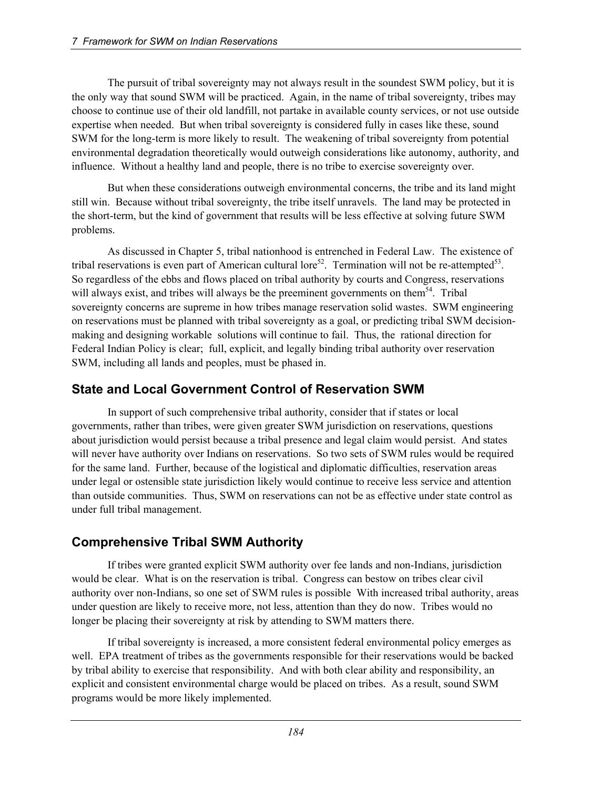The pursuit of tribal sovereignty may not always result in the soundest SWM policy, but it is the only way that sound SWM will be practiced. Again, in the name of tribal sovereignty, tribes may choose to continue use of their old landfill, not partake in available county services, or not use outside expertise when needed. But when tribal sovereignty is considered fully in cases like these, sound SWM for the long-term is more likely to result. The weakening of tribal sovereignty from potential environmental degradation theoretically would outweigh considerations like autonomy, authority, and influence. Without a healthy land and people, there is no tribe to exercise sovereignty over.

But when these considerations outweigh environmental concerns, the tribe and its land might still win. Because without tribal sovereignty, the tribe itself unravels. The land may be protected in the short-term, but the kind of government that results will be less effective at solving future SWM problems.

As discussed in Chapter 5, tribal nationhood is entrenched in Federal Law. The existence of tribal reservations is even part of American cultural lore<sup>52</sup>. Termination will not be re-attempted<sup>53</sup>. So regardless of the ebbs and flows placed on tribal authority by courts and Congress, reservations will always exist, and tribes will always be the preeminent governments on them<sup>54</sup>. Tribal sovereignty concerns are supreme in how tribes manage reservation solid wastes. SWM engineering on reservations must be planned with tribal sovereignty as a goal, or predicting tribal SWM decisionmaking and designing workable solutions will continue to fail. Thus, the rational direction for Federal Indian Policy is clear; full, explicit, and legally binding tribal authority over reservation SWM, including all lands and peoples, must be phased in.

## **State and Local Government Control of Reservation SWM**

In support of such comprehensive tribal authority, consider that if states or local governments, rather than tribes, were given greater SWM jurisdiction on reservations, questions about jurisdiction would persist because a tribal presence and legal claim would persist. And states will never have authority over Indians on reservations. So two sets of SWM rules would be required for the same land. Further, because of the logistical and diplomatic difficulties, reservation areas under legal or ostensible state jurisdiction likely would continue to receive less service and attention than outside communities. Thus, SWM on reservations can not be as effective under state control as under full tribal management.

## **Comprehensive Tribal SWM Authority**

If tribes were granted explicit SWM authority over fee lands and non-Indians, jurisdiction would be clear. What is on the reservation is tribal. Congress can bestow on tribes clear civil authority over non-Indians, so one set of SWM rules is possible With increased tribal authority, areas under question are likely to receive more, not less, attention than they do now. Tribes would no longer be placing their sovereignty at risk by attending to SWM matters there.

If tribal sovereignty is increased, a more consistent federal environmental policy emerges as well. EPA treatment of tribes as the governments responsible for their reservations would be backed by tribal ability to exercise that responsibility. And with both clear ability and responsibility, an explicit and consistent environmental charge would be placed on tribes. As a result, sound SWM programs would be more likely implemented.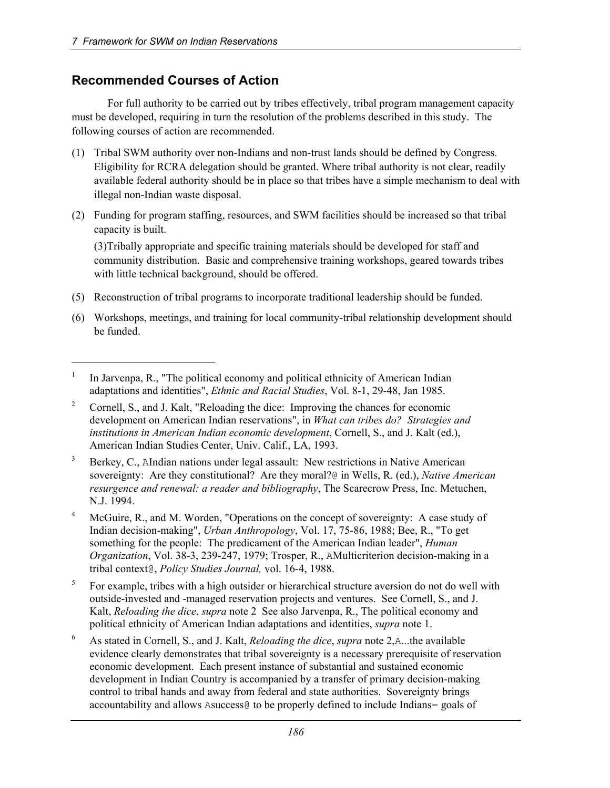#### **Recommended Courses of Action**

 $\overline{a}$ 

For full authority to be carried out by tribes effectively, tribal program management capacity must be developed, requiring in turn the resolution of the problems described in this study. The following courses of action are recommended.

- (1) Tribal SWM authority over non-Indians and non-trust lands should be defined by Congress. Eligibility for RCRA delegation should be granted. Where tribal authority is not clear, readily available federal authority should be in place so that tribes have a simple mechanism to deal with illegal non-Indian waste disposal.
- (2) Funding for program staffing, resources, and SWM facilities should be increased so that tribal capacity is built.

(3)Tribally appropriate and specific training materials should be developed for staff and community distribution. Basic and comprehensive training workshops, geared towards tribes with little technical background, should be offered.

- (5) Reconstruction of tribal programs to incorporate traditional leadership should be funded.
- (6) Workshops, meetings, and training for local community-tribal relationship development should be funded.

<sup>1</sup> In Jarvenpa, R., "The political economy and political ethnicity of American Indian adaptations and identities", *Ethnic and Racial Studies*, Vol. 8-1, 29-48, Jan 1985.

<sup>2</sup> Cornell, S., and J. Kalt, "Reloading the dice: Improving the chances for economic development on American Indian reservations", in *What can tribes do? Strategies and institutions in American Indian economic development*, Cornell, S., and J. Kalt (ed.), American Indian Studies Center, Univ. Calif., LA, 1993.

<sup>3</sup> Berkey, C., AIndian nations under legal assault: New restrictions in Native American sovereignty: Are they constitutional? Are they moral?@ in Wells, R. (ed.), *Native American resurgence and renewal: a reader and bibliography*, The Scarecrow Press, Inc. Metuchen, N.J. 1994.

<sup>4</sup> McGuire, R., and M. Worden, "Operations on the concept of sovereignty: A case study of Indian decision-making", *Urban Anthropology*, Vol. 17, 75-86, 1988; Bee, R., "To get something for the people: The predicament of the American Indian leader", *Human Organization*, Vol. 38-3, 239-247, 1979; Trosper, R., AMulticriterion decision-making in a tribal context@, *Policy Studies Journal,* vol. 16-4, 1988.

<sup>5</sup> For example, tribes with a high outsider or hierarchical structure aversion do not do well with outside-invested and -managed reservation projects and ventures. See Cornell, S., and J. Kalt, *Reloading the dice*, *supra* note 2 See also Jarvenpa, R., The political economy and political ethnicity of American Indian adaptations and identities, *supra* note 1.

<sup>6</sup> As stated in Cornell, S., and J. Kalt, *Reloading the dice*, *supra* note 2,A...the available evidence clearly demonstrates that tribal sovereignty is a necessary prerequisite of reservation economic development. Each present instance of substantial and sustained economic development in Indian Country is accompanied by a transfer of primary decision-making control to tribal hands and away from federal and state authorities. Sovereignty brings accountability and allows Asuccess@ to be properly defined to include Indians= goals of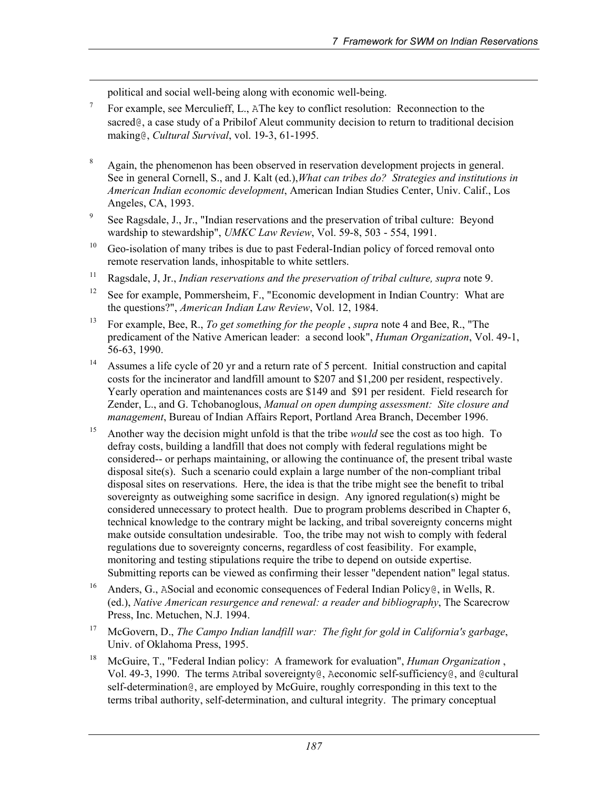political and social well-being along with economic well-being.

- 7 For example, see Merculieff, L., AThe key to conflict resolution: Reconnection to the sacred<sup>®</sup>, a case study of a Pribilof Aleut community decision to return to traditional decision making@, *Cultural Survival*, vol. 19-3, 61-1995.
- 8 Again, the phenomenon has been observed in reservation development projects in general. See in general Cornell, S., and J. Kalt (ed.),*What can tribes do? Strategies and institutions in American Indian economic development*, American Indian Studies Center, Univ. Calif., Los Angeles, CA, 1993.
- 9 See Ragsdale, J., Jr., "Indian reservations and the preservation of tribal culture: Beyond wardship to stewardship", *UMKC Law Review*, Vol. 59-8, 503 - 554, 1991.
- $10$  Geo-isolation of many tribes is due to past Federal-Indian policy of forced removal onto remote reservation lands, inhospitable to white settlers.
- <sup>11</sup> Ragsdale, J, Jr., *Indian reservations and the preservation of tribal culture, supra* note 9.
- <sup>12</sup> See for example, Pommersheim, F., "Economic development in Indian Country: What are the questions?", *American Indian Law Review*, Vol. 12, 1984.
- 13 For example, Bee, R., *To get something for the people* , *supra* note 4 and Bee, R., "The predicament of the Native American leader: a second look", *Human Organization*, Vol. 49-1, 56-63, 1990.
- <sup>14</sup> Assumes a life cycle of 20 yr and a return rate of 5 percent. Initial construction and capital costs for the incinerator and landfill amount to \$207 and \$1,200 per resident, respectively. Yearly operation and maintenances costs are \$149 and \$91 per resident. Field research for Zender, L., and G. Tchobanoglous, *Manual on open dumping assessment: Site closure and management*, Bureau of Indian Affairs Report, Portland Area Branch, December 1996.
- 15 Another way the decision might unfold is that the tribe *would* see the cost as too high. To defray costs, building a landfill that does not comply with federal regulations might be considered-- or perhaps maintaining, or allowing the continuance of, the present tribal waste disposal site(s). Such a scenario could explain a large number of the non-compliant tribal disposal sites on reservations. Here, the idea is that the tribe might see the benefit to tribal sovereignty as outweighing some sacrifice in design. Any ignored regulation(s) might be considered unnecessary to protect health. Due to program problems described in Chapter 6, technical knowledge to the contrary might be lacking, and tribal sovereignty concerns might make outside consultation undesirable. Too, the tribe may not wish to comply with federal regulations due to sovereignty concerns, regardless of cost feasibility. For example, monitoring and testing stipulations require the tribe to depend on outside expertise. Submitting reports can be viewed as confirming their lesser "dependent nation" legal status.
- <sup>16</sup> Anders, G., ASocial and economic consequences of Federal Indian Policy  $\theta$ , in Wells, R. (ed.), *Native American resurgence and renewal: a reader and bibliography*, The Scarecrow Press, Inc. Metuchen, N.J. 1994.
- 17 McGovern, D., *The Campo Indian landfill war: The fight for gold in California's garbage*, Univ. of Oklahoma Press, 1995.
- 18 McGuire, T., "Federal Indian policy: A framework for evaluation", *Human Organization* , Vol. 49-3, 1990. The terms Atribal sovereignty@, Aeconomic self-sufficiency@, and @cultural self-determination@, are employed by McGuire, roughly corresponding in this text to the terms tribal authority, self-determination, and cultural integrity. The primary conceptual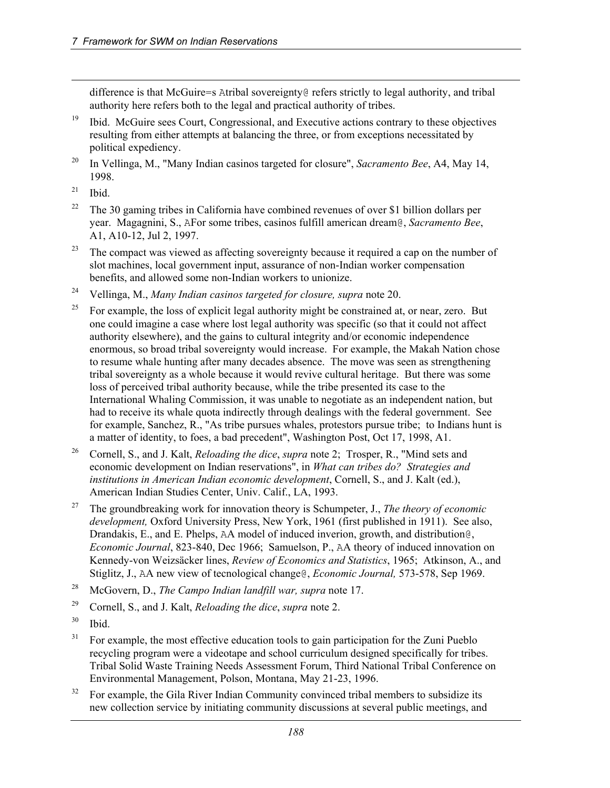difference is that McGuire=s Atribal sovereignty@ refers strictly to legal authority, and tribal authority here refers both to the legal and practical authority of tribes.

- $19$  Ibid. McGuire sees Court, Congressional, and Executive actions contrary to these objectives resulting from either attempts at balancing the three, or from exceptions necessitated by political expediency.
- 20 In Vellinga, M., "Many Indian casinos targeted for closure", *Sacramento Bee*, A4, May 14, 1998.

- <sup>22</sup> The 30 gaming tribes in California have combined revenues of over \$1 billion dollars per year. Magagnini, S., AFor some tribes, casinos fulfill american dream@, *Sacramento Bee*, A1, A10-12, Jul 2, 1997.
- <sup>23</sup> The compact was viewed as affecting sovereignty because it required a cap on the number of slot machines, local government input, assurance of non-Indian worker compensation benefits, and allowed some non-Indian workers to unionize.
- 24 Vellinga, M., *Many Indian casinos targeted for closure, supra* note 20.
- <sup>25</sup> For example, the loss of explicit legal authority might be constrained at, or near, zero. But one could imagine a case where lost legal authority was specific (so that it could not affect authority elsewhere), and the gains to cultural integrity and/or economic independence enormous, so broad tribal sovereignty would increase. For example, the Makah Nation chose to resume whale hunting after many decades absence. The move was seen as strengthening tribal sovereignty as a whole because it would revive cultural heritage. But there was some loss of perceived tribal authority because, while the tribe presented its case to the International Whaling Commission, it was unable to negotiate as an independent nation, but had to receive its whale quota indirectly through dealings with the federal government. See for example, Sanchez, R., "As tribe pursues whales, protestors pursue tribe; to Indians hunt is a matter of identity, to foes, a bad precedent", Washington Post, Oct 17, 1998, A1.
- 26 Cornell, S., and J. Kalt, *Reloading the dice*, *supra* note 2; Trosper, R., "Mind sets and economic development on Indian reservations", in *What can tribes do? Strategies and institutions in American Indian economic development*, Cornell, S., and J. Kalt (ed.), American Indian Studies Center, Univ. Calif., LA, 1993.
- 27 The groundbreaking work for innovation theory is Schumpeter, J., *The theory of economic development,* Oxford University Press, New York, 1961 (first published in 1911). See also, Drandakis, E., and E. Phelps, AA model of induced inverion, growth, and distribution@, *Economic Journal*, 823-840, Dec 1966; Samuelson, P., AA theory of induced innovation on Kennedy-von Weizsäcker lines, *Review of Economics and Statistics*, 1965; Atkinson, A., and Stiglitz, J., AA new view of tecnological change@, *Economic Journal,* 573-578, Sep 1969.
- 28 McGovern, D., *The Campo Indian landfill war, supra* note 17.
- 29 Cornell, S., and J. Kalt, *Reloading the dice*, *supra* note 2.
- 30 Ibid.
- $31$  For example, the most effective education tools to gain participation for the Zuni Pueblo recycling program were a videotape and school curriculum designed specifically for tribes. Tribal Solid Waste Training Needs Assessment Forum, Third National Tribal Conference on Environmental Management, Polson, Montana, May 21-23, 1996.
- $32$  For example, the Gila River Indian Community convinced tribal members to subsidize its new collection service by initiating community discussions at several public meetings, and

 $21$  Ibid.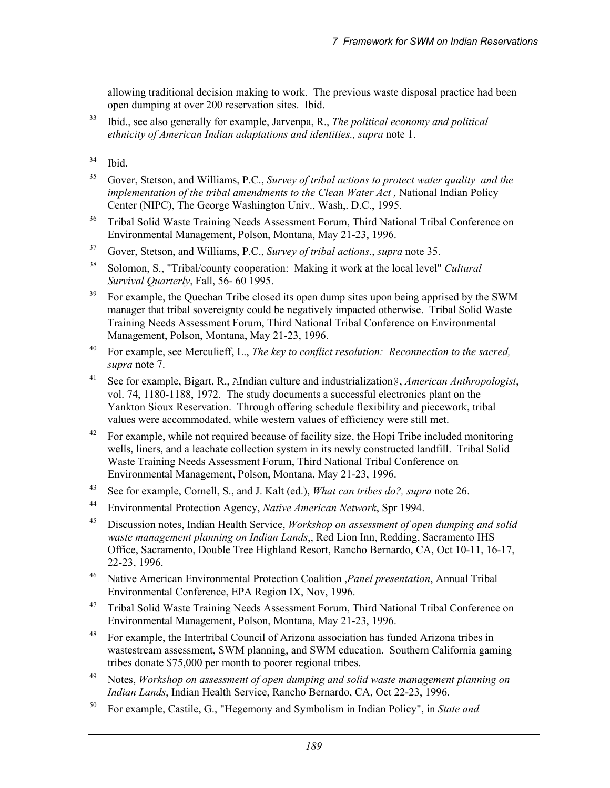allowing traditional decision making to work. The previous waste disposal practice had been open dumping at over 200 reservation sites. Ibid.

33 Ibid., see also generally for example, Jarvenpa, R., *The political economy and political ethnicity of American Indian adaptations and identities., supra* note 1.

- 35 Gover, Stetson, and Williams, P.C., *Survey of tribal actions to protect water quality and the implementation of the tribal amendments to the Clean Water Act*, National Indian Policy Center (NIPC), The George Washington Univ., Wash,. D.C., 1995.
- <sup>36</sup> Tribal Solid Waste Training Needs Assessment Forum, Third National Tribal Conference on Environmental Management, Polson, Montana, May 21-23, 1996.
- 37 Gover, Stetson, and Williams, P.C., *Survey of tribal actions*., *supra* note 35.
- 38 Solomon, S., "Tribal/county cooperation: Making it work at the local level" *Cultural Survival Quarterly*, Fall, 56- 60 1995.
- $39$  For example, the Quechan Tribe closed its open dump sites upon being apprised by the SWM manager that tribal sovereignty could be negatively impacted otherwise. Tribal Solid Waste Training Needs Assessment Forum, Third National Tribal Conference on Environmental Management, Polson, Montana, May 21-23, 1996.
- 40 For example, see Merculieff, L., *The key to conflict resolution: Reconnection to the sacred, supra* note 7.
- 41 See for example, Bigart, R., AIndian culture and industrialization@, *American Anthropologist*, vol. 74, 1180-1188, 1972. The study documents a successful electronics plant on the Yankton Sioux Reservation. Through offering schedule flexibility and piecework, tribal values were accommodated, while western values of efficiency were still met.
- $42$  For example, while not required because of facility size, the Hopi Tribe included monitoring wells, liners, and a leachate collection system in its newly constructed landfill. Tribal Solid Waste Training Needs Assessment Forum, Third National Tribal Conference on Environmental Management, Polson, Montana, May 21-23, 1996.
- 43 See for example, Cornell, S., and J. Kalt (ed.), *What can tribes do?, supra* note 26.
- 44 Environmental Protection Agency, *Native American Network*, Spr 1994.
- 45 Discussion notes, Indian Health Service, *Workshop on assessment of open dumping and solid waste management planning on Indian Lands*,, Red Lion Inn, Redding, Sacramento IHS Office, Sacramento, Double Tree Highland Resort, Rancho Bernardo, CA, Oct 10-11, 16-17, 22-23, 1996.
- 46 Native American Environmental Protection Coalition ,*Panel presentation*, Annual Tribal Environmental Conference, EPA Region IX, Nov, 1996.
- <sup>47</sup> Tribal Solid Waste Training Needs Assessment Forum, Third National Tribal Conference on Environmental Management, Polson, Montana, May 21-23, 1996.
- <sup>48</sup> For example, the Intertribal Council of Arizona association has funded Arizona tribes in wastestream assessment, SWM planning, and SWM education. Southern California gaming tribes donate \$75,000 per month to poorer regional tribes.
- 49 Notes, *Workshop on assessment of open dumping and solid waste management planning on Indian Lands*, Indian Health Service, Rancho Bernardo, CA, Oct 22-23, 1996.
- 50 For example, Castile, G., "Hegemony and Symbolism in Indian Policy", in *State and*

 $34$  Ibid.